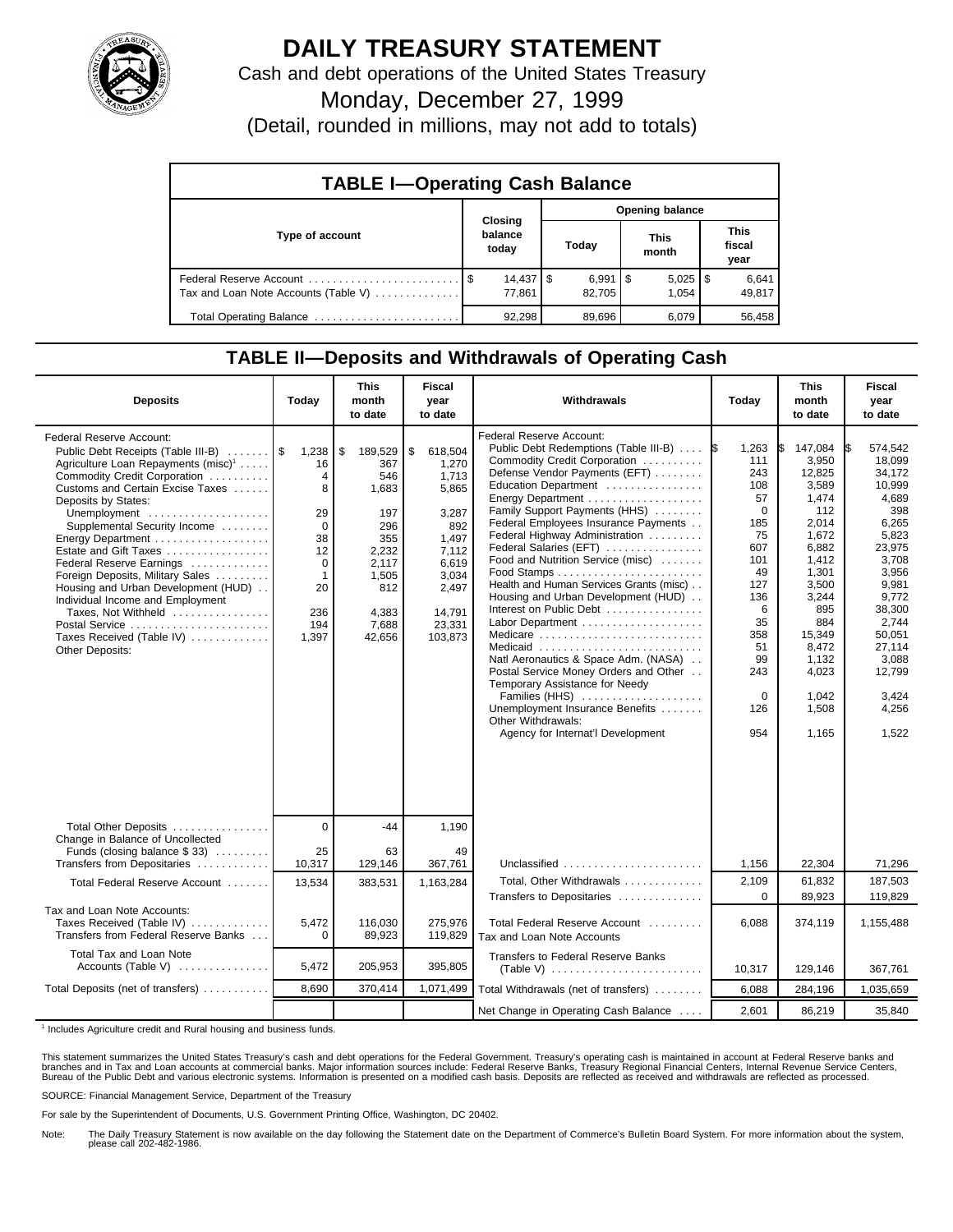

## **DAILY TREASURY STATEMENT**

Cash and debt operations of the United States Treasury

Monday, December 27, 1999

(Detail, rounded in millions, may not add to totals)

| <b>TABLE I-Operating Cash Balance</b> |                |                                  |                 |                              |  |                       |  |                               |  |
|---------------------------------------|----------------|----------------------------------|-----------------|------------------------------|--|-----------------------|--|-------------------------------|--|
|                                       | <b>Closing</b> |                                  | Opening balance |                              |  |                       |  |                               |  |
| Type of account                       |                | balance<br>today                 |                 | Today                        |  | This<br>month         |  | <b>This</b><br>fiscal<br>year |  |
| Tax and Loan Note Accounts (Table V)  |                | $14,437$ $\frac{1}{9}$<br>77.861 |                 | $6,991$ $\sqrt{5}$<br>82.705 |  | $5,025$   \$<br>1.054 |  | 6,641<br>49,817               |  |
| Total Operating Balance               |                | 92.298                           |                 | 89,696                       |  | 6,079                 |  | 56.458                        |  |

## **TABLE II—Deposits and Withdrawals of Operating Cash**

| <b>Deposits</b>                                                                                                                                                                                                                                                                                                                                                                                                                                                                                                           | Today                                                                                                             | <b>This</b><br>month<br>to date                                                                                         | <b>Fiscal</b><br>year<br>to date                                                                                                     | Withdrawals                                                                                                                                                                                                                                                                                                                                                                                                                                                                                                                                                                                                                                                                                                                                                                                          | Today                                                                                                                                                             | <b>This</b><br>month<br>to date                                                                                                                                                                  | Fiscal<br>year<br>to date                                                                                                                                                                                         |  |
|---------------------------------------------------------------------------------------------------------------------------------------------------------------------------------------------------------------------------------------------------------------------------------------------------------------------------------------------------------------------------------------------------------------------------------------------------------------------------------------------------------------------------|-------------------------------------------------------------------------------------------------------------------|-------------------------------------------------------------------------------------------------------------------------|--------------------------------------------------------------------------------------------------------------------------------------|------------------------------------------------------------------------------------------------------------------------------------------------------------------------------------------------------------------------------------------------------------------------------------------------------------------------------------------------------------------------------------------------------------------------------------------------------------------------------------------------------------------------------------------------------------------------------------------------------------------------------------------------------------------------------------------------------------------------------------------------------------------------------------------------------|-------------------------------------------------------------------------------------------------------------------------------------------------------------------|--------------------------------------------------------------------------------------------------------------------------------------------------------------------------------------------------|-------------------------------------------------------------------------------------------------------------------------------------------------------------------------------------------------------------------|--|
| Federal Reserve Account:<br>Public Debt Receipts (Table III-B)<br>Agriculture Loan Repayments (misc) <sup>1</sup><br>Commodity Credit Corporation<br>Customs and Certain Excise Taxes<br>Deposits by States:<br>Unemployment<br>Supplemental Security Income<br>Estate and Gift Taxes<br>Federal Reserve Earnings<br>Foreign Deposits, Military Sales<br>Housing and Urban Development (HUD)<br>Individual Income and Employment<br>Taxes, Not Withheld<br>Postal Service<br>Taxes Received (Table IV)<br>Other Deposits: | 1,238<br>16<br>$\overline{4}$<br>8<br>29<br>$\Omega$<br>38<br>12<br>0<br>$\mathbf 1$<br>20<br>236<br>194<br>1,397 | \$<br>189,529<br>367<br>546<br>1,683<br>197<br>296<br>355<br>2,232<br>2,117<br>1,505<br>812<br>4,383<br>7,688<br>42,656 | \$<br>618,504<br>1,270<br>1,713<br>5,865<br>3,287<br>892<br>1.497<br>7.112<br>6,619<br>3,034<br>2,497<br>14,791<br>23,331<br>103,873 | Federal Reserve Account:<br>Public Debt Redemptions (Table III-B)<br>Commodity Credit Corporation<br>Defense Vendor Payments (EFT)<br>Education Department<br>Family Support Payments (HHS)<br>Federal Employees Insurance Payments<br>Federal Highway Administration<br>Federal Salaries (EFT)<br>Food and Nutrition Service (misc)<br>$Food$ Stamps $\ldots \ldots \ldots \ldots \ldots \ldots \ldots$<br>Health and Human Services Grants (misc)<br>Housing and Urban Development (HUD)<br>Interest on Public Debt<br>Labor Department<br>Medicare<br>Medicaid<br>Natl Aeronautics & Space Adm. (NASA)<br>Postal Service Money Orders and Other<br>Temporary Assistance for Needy<br>Families (HHS)<br>Unemployment Insurance Benefits<br>Other Withdrawals:<br>Agency for Internat'l Development | 1\$<br>1,263<br>111<br>243<br>108<br>57<br>$\Omega$<br>185<br>75<br>607<br>101<br>49<br>127<br>136<br>6<br>35<br>358<br>51<br>99<br>243<br>$\Omega$<br>126<br>954 | 147,084<br>3,950<br>12.825<br>3,589<br>1,474<br>112<br>2.014<br>1,672<br>6,882<br>1,412<br>1.301<br>3,500<br>3,244<br>895<br>884<br>15,349<br>8,472<br>1,132<br>4,023<br>1,042<br>1,508<br>1,165 | 574,542<br>IS.<br>18.099<br>34.172<br>10,999<br>4,689<br>398<br>6,265<br>5,823<br>23,975<br>3,708<br>3.956<br>9,981<br>9,772<br>38,300<br>2.744<br>50,051<br>27,114<br>3,088<br>12,799<br>3,424<br>4,256<br>1,522 |  |
| Total Other Deposits                                                                                                                                                                                                                                                                                                                                                                                                                                                                                                      | $\Omega$                                                                                                          | $-44$                                                                                                                   | 1,190                                                                                                                                |                                                                                                                                                                                                                                                                                                                                                                                                                                                                                                                                                                                                                                                                                                                                                                                                      |                                                                                                                                                                   |                                                                                                                                                                                                  |                                                                                                                                                                                                                   |  |
| Change in Balance of Uncollected<br>Funds (closing balance \$33)<br>Transfers from Depositaries                                                                                                                                                                                                                                                                                                                                                                                                                           | 25<br>10,317                                                                                                      | 63<br>129,146                                                                                                           | 49<br>367,761                                                                                                                        | Unclassified                                                                                                                                                                                                                                                                                                                                                                                                                                                                                                                                                                                                                                                                                                                                                                                         | 1,156                                                                                                                                                             | 22,304                                                                                                                                                                                           | 71,296                                                                                                                                                                                                            |  |
| Total Federal Reserve Account                                                                                                                                                                                                                                                                                                                                                                                                                                                                                             | 13,534                                                                                                            | 383,531                                                                                                                 | 1,163,284                                                                                                                            | Total, Other Withdrawals<br>Transfers to Depositaries                                                                                                                                                                                                                                                                                                                                                                                                                                                                                                                                                                                                                                                                                                                                                | 2,109<br>$\Omega$                                                                                                                                                 | 61,832<br>89,923                                                                                                                                                                                 | 187,503<br>119,829                                                                                                                                                                                                |  |
| Tax and Loan Note Accounts:<br>Taxes Received (Table IV)<br>Transfers from Federal Reserve Banks                                                                                                                                                                                                                                                                                                                                                                                                                          | 5,472<br>$\Omega$                                                                                                 | 116,030<br>89,923                                                                                                       | 275,976<br>119,829                                                                                                                   | Total Federal Reserve Account<br>Tax and Loan Note Accounts                                                                                                                                                                                                                                                                                                                                                                                                                                                                                                                                                                                                                                                                                                                                          | 6,088                                                                                                                                                             | 374,119                                                                                                                                                                                          | 1,155,488                                                                                                                                                                                                         |  |
| Total Tax and Loan Note<br>Accounts (Table V) $\dots\dots\dots\dots$                                                                                                                                                                                                                                                                                                                                                                                                                                                      | 5,472                                                                                                             | 205,953                                                                                                                 | 395,805                                                                                                                              | <b>Transfers to Federal Reserve Banks</b>                                                                                                                                                                                                                                                                                                                                                                                                                                                                                                                                                                                                                                                                                                                                                            | 10,317                                                                                                                                                            | 129,146                                                                                                                                                                                          | 367,761                                                                                                                                                                                                           |  |
| Total Deposits (net of transfers)                                                                                                                                                                                                                                                                                                                                                                                                                                                                                         | 8,690                                                                                                             | 370,414                                                                                                                 | 1,071,499                                                                                                                            | Total Withdrawals (net of transfers)                                                                                                                                                                                                                                                                                                                                                                                                                                                                                                                                                                                                                                                                                                                                                                 | 6,088                                                                                                                                                             | 284,196                                                                                                                                                                                          | 1,035,659                                                                                                                                                                                                         |  |
|                                                                                                                                                                                                                                                                                                                                                                                                                                                                                                                           |                                                                                                                   |                                                                                                                         |                                                                                                                                      | Net Change in Operating Cash Balance                                                                                                                                                                                                                                                                                                                                                                                                                                                                                                                                                                                                                                                                                                                                                                 | 2,601                                                                                                                                                             | 86,219                                                                                                                                                                                           | 35,840                                                                                                                                                                                                            |  |

<sup>1</sup> Includes Agriculture credit and Rural housing and business funds.

This statement summarizes the United States Treasury's cash and debt operations for the Federal Government. Treasury's operating cash is maintained in account at Federal Reserve banks and<br>branches and in Tax and Loan accou

SOURCE: Financial Management Service, Department of the Treasury

For sale by the Superintendent of Documents, U.S. Government Printing Office, Washington, DC 20402.

Note: The Daily Treasury Statement is now available on the day following the Statement date on the Department of Commerce's Bulletin Board System. For more information about the system, please call 202-482-1986.